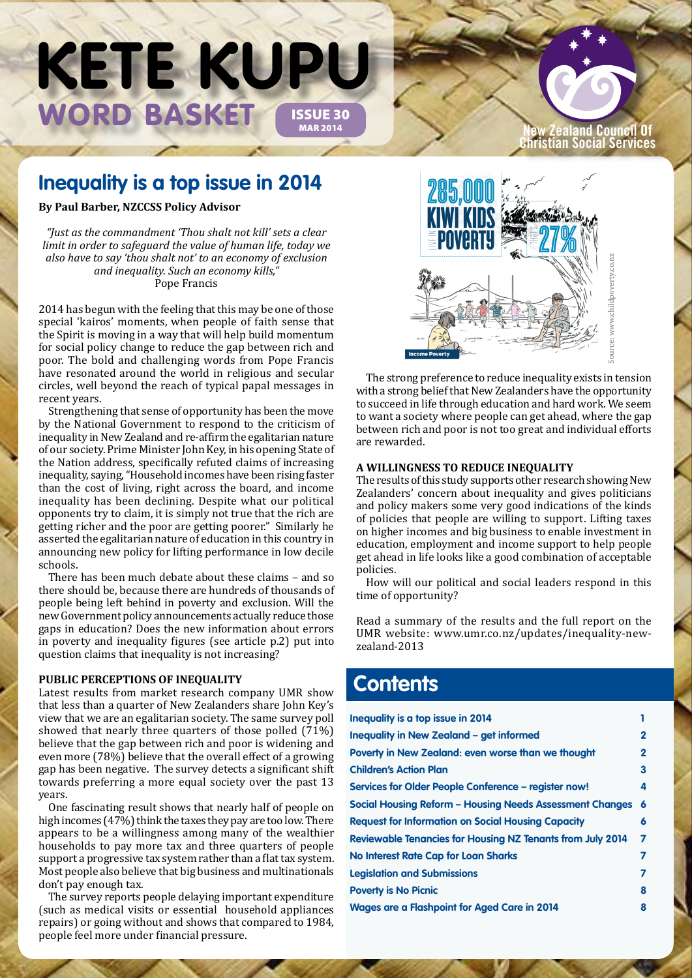# WORD BASKET ISSUE 30 **KETE KUPU**

# **New Zealand Council Of Christian Social Services**

# **Inequality is a top issue in 2014**

**By Paul Barber, NZCCSS Policy Advisor**

*"Just as the commandment 'Thou shalt not kill' sets a clear limit in order to safeguard the value of human life, today we also have to say 'thou shalt not' to an economy of exclusion and inequality. Such an economy kills,"* Pope Francis

2014 has begun with the feeling that this may be one of those special 'kairos' moments, when people of faith sense that the Spirit is moving in a way that will help build momentum for social policy change to reduce the gap between rich and poor. The bold and challenging words from Pope Francis have resonated around the world in religious and secular circles, well beyond the reach of typical papal messages in recent years.

Strengthening that sense of opportunity has been the move by the National Government to respond to the criticism of inequality in New Zealand and re-affirm the egalitarian nature of our society. Prime Minister John Key, in his opening State of the Nation address, specifically refuted claims of increasing inequality, saying, "Household incomes have been rising faster than the cost of living, right across the board, and income inequality has been declining. Despite what our political opponents try to claim, it is simply not true that the rich are getting richer and the poor are getting poorer." Similarly he asserted the egalitarian nature of education in this country in announcing new policy for lifting performance in low decile schools.

There has been much debate about these claims – and so there should be, because there are hundreds of thousands of people being left behind in poverty and exclusion. Will the new Government policy announcements actually reduce those gaps in education? Does the new information about errors in poverty and inequality figures (see article p.2) put into question claims that inequality is not increasing?

# **Public Perceptions of Inequality**

Latest results from market research company UMR show that less than a quarter of New Zealanders share John Key's view that we are an egalitarian society. The same survey poll showed that nearly three quarters of those polled (71%) believe that the gap between rich and poor is widening and even more (78%) believe that the overall effect of a growing gap has been negative. The survey detects a significant shift towards preferring a more equal society over the past 13 years.

One fascinating result shows that nearly half of people on high incomes (47%) think the taxes they pay are too low. There appears to be a willingness among many of the wealthier households to pay more tax and three quarters of people support a progressive tax system rather than a flat tax system. Most people also believe that big business and multinationals don't pay enough tax.

The survey reports people delaying important expenditure (such as medical visits or essential household appliances repairs) or going without and shows that compared to 1984, people feel more under financial pressure.



The strong preference to reduce inequality exists in tension with a strong belief that New Zealanders have the opportunity to succeed in life through education and hard work. We seem to want a society where people can get ahead, where the gap between rich and poor is not too great and individual efforts are rewarded.

## **A Willingness to Reduce Inequality**

The results of this study supports other research showing New Zealanders' concern about inequality and gives politicians and policy makers some very good indications of the kinds of policies that people are willing to support. Lifting taxes on higher incomes and big business to enable investment in education, employment and income support to help people get ahead in life looks like a good combination of acceptable policies. **zealand-2013**<br> **Example 18 Source: We also also the constrained to the strong preference to reduce inequality exists in with a strong belief that New Zealanders have the opposite to want a society where people can get ahe** 

How will our political and social leaders respond in this time of opportunity?

Read a summary of the results and the full report on the UMR website: www.umr.co.nz/updates/inequality-new-

# **Contents**

| Inequality is a top issue in 2014                                 |              |
|-------------------------------------------------------------------|--------------|
| Inequality in New Zealand - get informed                          | $\mathbf{2}$ |
| Poverty in New Zealand: even worse than we thought                | $\mathbf{2}$ |
| <b>Children's Action Plan</b>                                     | 3            |
| Services for Older People Conference - register now!              | 4            |
| <b>Social Housing Reform - Housing Needs Assessment Changes</b>   | 6            |
| <b>Request for Information on Social Housing Capacity</b>         | 6            |
| <b>Reviewable Tenancies for Housing NZ Tenants from July 2014</b> | 7            |
| No Interest Rate Cap for Loan Sharks                              | 7            |
| <b>Legislation and Submissions</b>                                | 7            |
| <b>Poverty is No Picnic</b>                                       | 8            |
| <b>Wages are a Flashpoint for Aged Care in 2014</b>               | 8            |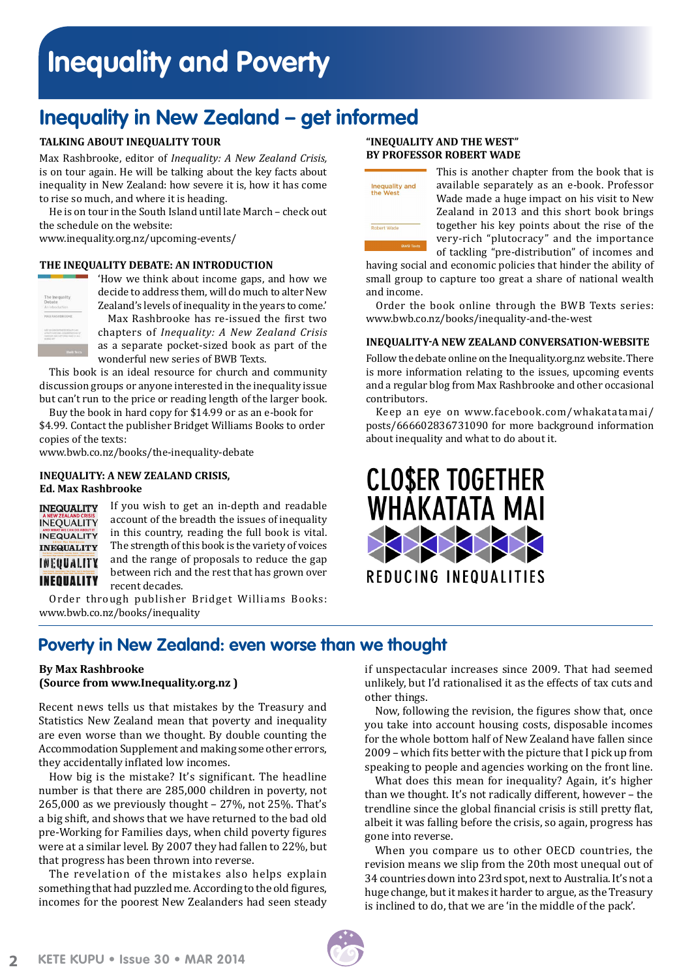# **Inequality and Poverty**

# **Inequality in New Zealand – get informed**

# **Talking About Inequality Tour**

Max Rashbrooke, editor of *Inequality: A New Zealand Crisis,* is on tour again. He will be talking about the key facts about inequality in New Zealand: how severe it is, how it has come to rise so much, and where it is heading.

He is on tour in the South Island until late March – check out the schedule on the website:

www.inequality.org.nz/upcoming-events/

# **The Inequality Debate: An Introduction**



'How we think about income gaps, and how we decide to address them, will do much to alter New Zealand's levels of inequality in the years to come.' Max Rashbrooke has re-issued the first two chapters of *Inequality: A New Zealand Crisis*

as a separate pocket-sized book as part of the wonderful new series of BWB Texts.

This book is an ideal resource for church and community discussion groups or anyone interested in the inequality issue but can't run to the price or reading length of the larger book.

Buy the book in hard copy for \$14.99 or as an e-book for \$4.99. Contact the publisher Bridget Williams Books to order copies of the texts:

www.bwb.co.nz/books/the-inequality-debate

# **Inequality: A New Zealand Crisis, Ed. Max Rashbrooke**

**INEQUALITY INEOUALITY INEQUALITY INEQUALITY** INEQUALITY INEQUALITY

If you wish to get an in-depth and readable account of the breadth the issues of inequality in this country, reading the full book is vital. The strength of this book is the variety of voices and the range of proposals to reduce the gap between rich and the rest that has grown over recent decades.

Order through publisher Bridget Williams Books: www.bwb.co.nz/books/inequality

# **"Inequality and the West" by Professor Robert Wade**



This is another chapter from the book that is available separately as an e-book. Professor Wade made a huge impact on his visit to New Zealand in 2013 and this short book brings together his key points about the rise of the very-rich "plutocracy" and the importance of tackling "pre-distribution" of incomes and

having social and economic policies that hinder the ability of small group to capture too great a share of national wealth and income.

Order the book online through the BWB Texts series: www.bwb.co.nz/books/inequality-and-the-west

# **Inequality-a New Zealand Conversation-website**

Follow the debate online on the [Inequality.org.nz](www.inequality.org.nz) website. There is more information relating to the issues, upcoming events and a regular blog from Max Rashbrooke and other occasional contributors.

Keep an eye on www.facebook.com/whakatatamai/ posts/666602836731090 for more background information about inequality and what to do about it.



# **Poverty in New Zealand: even worse than we thought**

# **By Max Rashbrooke (Source from www.Inequality.org.nz )**

Recent news tells us that mistakes by the Treasury and Statistics New Zealand mean that poverty and inequality are even worse than we thought. By double counting the Accommodation Supplement and making some other errors, they accidentally inflated low incomes.

How big is the mistake? It's significant. The headline number is that there are 285,000 children in poverty, not 265,000 as we previously thought – 27%, not 25%. That's a big shift, and shows that we have returned to the bad old pre-Working for Families days, when child poverty figures were at a similar level. By 2007 they had fallen to 22%, but that progress has been thrown into reverse.

The revelation of the mistakes also helps explain something that had puzzled me. According to the old figures, incomes for the poorest New Zealanders had seen steady if unspectacular increases since 2009. That had seemed unlikely, but I'd rationalised it as the effects of tax cuts and other things.

Now, following the revision, the figures show that, once you take into account housing costs, disposable incomes for the whole bottom half of New Zealand have fallen since 2009 – which fits better with the picture that I pick up from speaking to people and agencies working on the front line.

What does this mean for inequality? Again, it's higher than we thought. It's not radically different, however – the trendline since the global financial crisis is still pretty flat, albeit it was falling before the crisis, so again, progress has gone into reverse.

When you compare us to other OECD countries, the revision means we slip from the 20th most unequal out of 34 countries down into 23rd spot, next to Australia. It's not a huge change, but it makes it harder to argue, as the Treasury is inclined to do, that we are 'in the middle of the pack'.

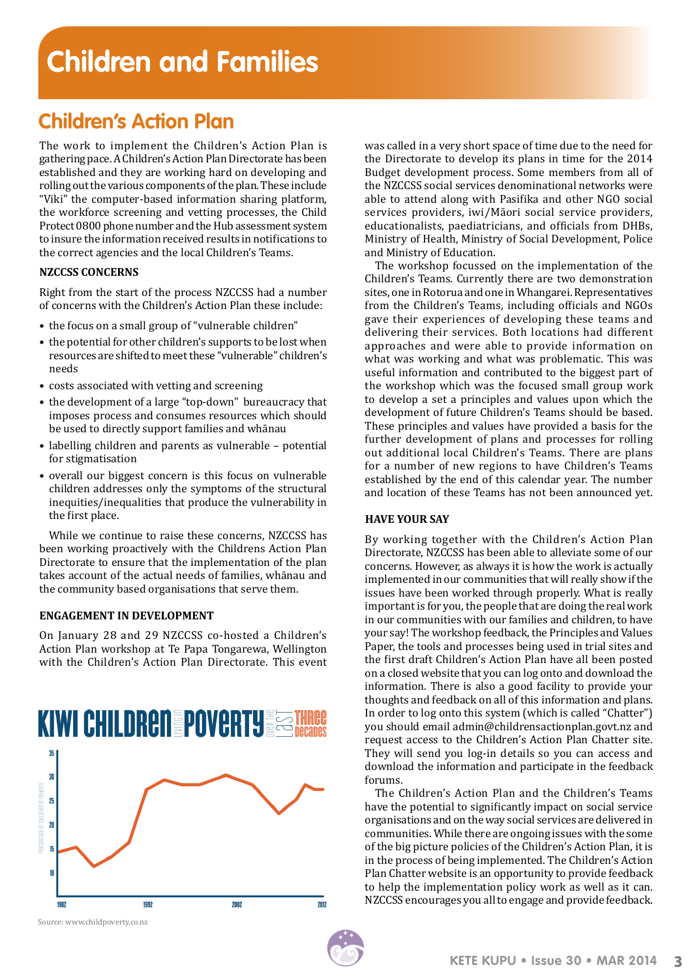# **Children's Action Plan**

The work to implement the Children's Action Plan is gathering pace. A Children's Action Plan Directorate has been established and they are working hard on developing and rolling out the various components of the plan. These include "Viki" the computer-based information sharing platform, the workforce screening and vetting processes, the Child Protect 0800 phone number and the Hub assessment system to insure the information received results in notifications to the correct agencies and the local Children's Teams.

# **NZCCSS CONCERNS**

Right from the start of the process NZCCSS had a number of concerns with the Children's Action Plan these include:

- the focus on a small group of "vulnerable children"
- the potential for other children's supports to be lost when resources are shifted to meet these "vulnerable" children's needs
- costs associated with vetting and screening
- the development of a large "top-down" bureaucracy that imposes process and consumes resources which should be used to directly support families and whānau
- labelling children and parents as vulnerable potential for stigmatisation
- overall our biggest concern is this focus on vulnerable children addresses only the symptoms of the structural inequities/inequalities that produce the vulnerability in the first place.

While we continue to raise these concerns, NZCCSS has been working proactively with the Childrens Action Plan Directorate to ensure that the implementation of the plan takes account of the actual needs of families, whānau and the community based organisations that serve them.

# **ENGAGEMENT IN DEVELOPMENT**

On January 28 and 29 NZCCSS co-hosted a Children's Action Plan workshop at Te Papa Tongarewa, Wellington with the Children's Action Plan Directorate. This event



Source: www.childpoverty.co.nz

was called in a very short space of time due to the need for the Directorate to develop its plans in time for the 2014 Budget development process. Some members from all of the NZCCSS social services denominational networks were able to attend along with Pasifika and other NGO social services providers, iwi/Māori social service providers, educationalists, paediatricians, and officials from DHBs, Ministry of Health, Ministry of Social Development, Police and Ministry of Education.

The workshop focussed on the implementation of the Children's Teams. Currently there are two demonstration sites, one in Rotorua and one in Whangarei. Representatives from the Children's Teams, including officials and NGOs gave their experiences of developing these teams and delivering their services. Both locations had different approaches and were able to provide information on what was working and what was problematic. This was useful information and contributed to the biggest part of the workshop which was the focused small group work to develop a set a principles and values upon which the development of future Children's Teams should be based. These principles and values have provided a basis for the further development of plans and processes for rolling out additional local Children's Teams. There are plans for a number of new regions to have Children's Teams established by the end of this calendar year. The number and location of these Teams has not been announced yet.

# **HAVE YOUR SAY**

By working together with the Children's Action Plan Directorate, NZCCSS has been able to alleviate some of our concerns. However, as always it is how the work is actually implemented in our communities that will really show if the issues have been worked through properly. What is really important is for you, the people that are doing the real work in our communities with our families and children, to have your say! The workshop feedback, the Principles and Values Paper, the tools and processes being used in trial sites and the first draft Children's Action Plan have all been posted on a closed website that you can log onto and download the information. There is also a good facility to provide your thoughts and feedback on all of this information and plans. In order to log onto this system (which is called "Chatter") you should email admin@childrensactionplan.govt.nz and request access to the Children's Action Plan Chatter site. They will send you log-in details so you can access and download the information and participate in the feedback forums.

The Children's Action Plan and the Children's Teams have the potential to significantly impact on social service organisations and on the way social services are delivered in communities. While there are ongoing issues with the some of the big picture policies of the Children's Action Plan, it is in the process of being implemented. The Children's Action Plan Chatter website is an opportunity to provide feedback to help the implementation policy work as well as it can. NZCCSS encourages you all to engage and provide feedback.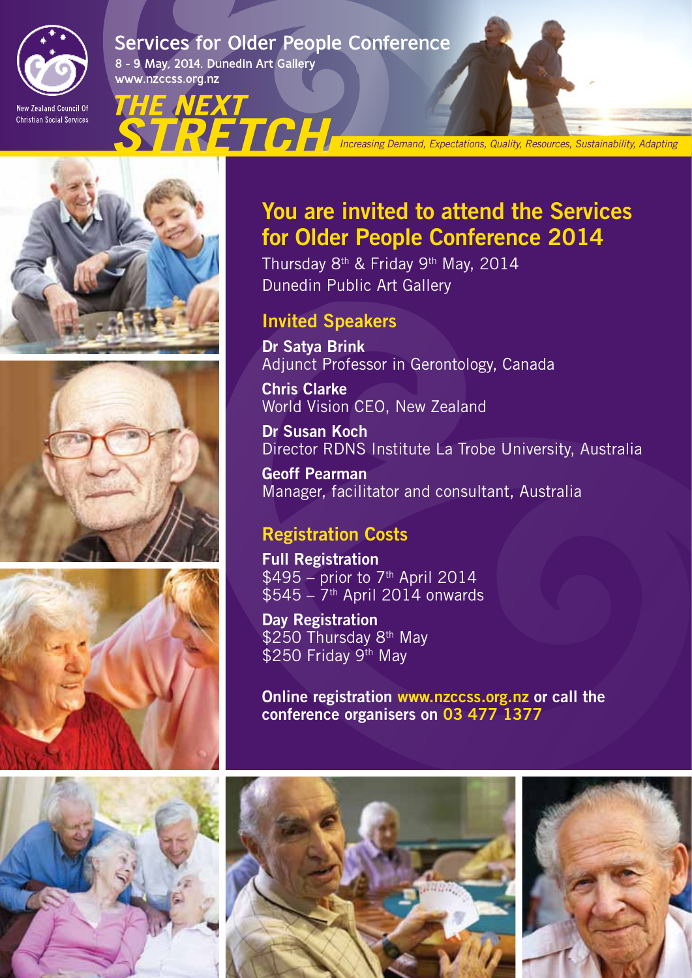

# **Services for Older People Conference**

ËTCH

8 - 9 May, 2014. Dunedin Art Gallery www.nzccss.org.nz

IΞ

New Zealand Council Of **Christian Social Services** 







# **KETE KUPU • ISSUE 30 • ISSUE 30 • ISSUE 30 • ISSUE 30 • ISSUE 30 • ISSUE 30 • ISSUE 30 • ISSUE 30 • ISSUE 30 • ISSUE 30 • ISSUE 30 • ISSUE 30 • ISSUE 30 • ISSUE 30 • ISSUE 30 • ISSUE 30 • ISSUE 30 • ISSUE 30 • ISSUE 30 •**

# You are invited to attend the Services for Older People Conference 2014

*Increasing Demand, Expectations, Quality, Resources, Sustainability, Adapting*

Thursday 8th & Friday 9th May, 2014 Dunedin Public Art Gallery

# Invited Speakers

Dr Satya Brink Adjunct Professor in Gerontology, Canada

Chris Clarke World Vision CEO, New Zealand

Dr Susan Koch Director RDNS Institute La Trobe University, Australia

Geoff Pearman Manager, facilitator and consultant, Australia

# Registration Costs

Full Registration  $$495$  – prior to 7<sup>th</sup> April 2014  $$545 - 7$ <sup>th</sup> April 2014 onwards

Day Registration \$250 Thursday 8<sup>th</sup> May \$250 Friday 9<sup>th</sup> May

Online registration www.nzccss.org.nz or call the conference organisers on 03 477 1377



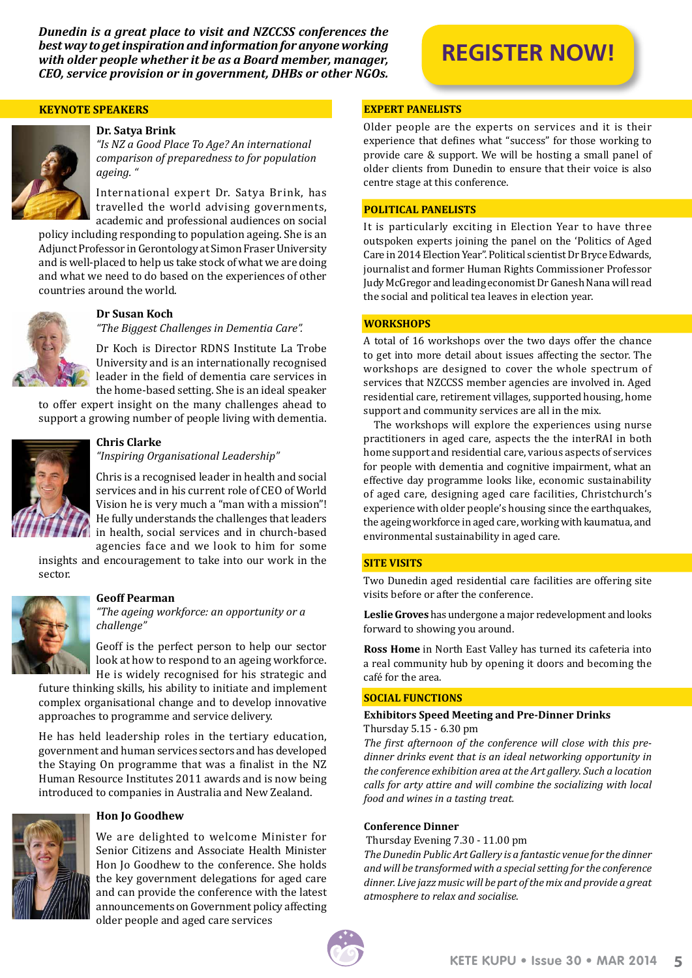*Dunedin is a great place to visit and NZCCSS conferences the best way to get inspiration and information for anyone working with older people whether it be as a Board member, manager, CEO, service provision or in government, DHBs or other NGOs.*

### **Keynote Speakers**



### **Dr. Satya Brink**

*"Is NZ a Good Place To Age? An international comparison of preparedness to for population ageing. "*

International expert Dr. Satya Brink, has travelled the world advising governments, academic and professional audiences on social

policy including responding to population ageing. She is an Adjunct Professor in Gerontology at Simon Fraser University and is well-placed to help us take stock of what we are doing and what we need to do based on the experiences of other countries around the world.



# **Dr Susan Koch**

*"The Biggest Challenges in Dementia Care".*

Dr Koch is Director RDNS Institute La Trobe University and is an internationally recognised leader in the field of dementia care services in the home-based setting. She is an ideal speaker

to offer expert insight on the many challenges ahead to support a growing number of people living with dementia.



# **Chris Clarke**

*"Inspiring Organisational Leadership"*

Chris is a recognised leader in health and social services and in his current role of CEO of World Vision he is very much a "man with a mission"! He fully understands the challenges that leaders in health, social services and in church-based agencies face and we look to him for some

insights and encouragement to take into our work in the sector.



### **Geoff Pearman**

*"The ageing workforce: an opportunity or a challenge"*

Geoff is the perfect person to help our sector look at how to respond to an ageing workforce. He is widely recognised for his strategic and

future thinking skills, his ability to initiate and implement complex organisational change and to develop innovative approaches to programme and service delivery.

He has held leadership roles in the tertiary education, government and human services sectors and has developed the Staying On programme that was a finalist in the NZ Human Resource Institutes 2011 awards and is now being introduced to companies in Australia and New Zealand.



### **Hon Jo Goodhew**

We are delighted to welcome Minister for Senior Citizens and Associate Health Minister Hon Jo Goodhew to the conference. She holds the key government delegations for aged care and can provide the conference with the latest announcements on Government policy affecting older people and aged care services

# **[REGISTER NOW!](https://www.etouches.com/ehome/nzccss/159001/)**

# **Expert Panelists**

Older people are the experts on services and it is their experience that defines what "success" for those working to provide care & support. We will be hosting a small panel of older clients from Dunedin to ensure that their voice is also centre stage at this conference.

### **Political Panelists**

It is particularly exciting in Election Year to have three outspoken experts joining the panel on the 'Politics of Aged Care in 2014 Election Year". Political scientist Dr Bryce Edwards, journalist and former Human Rights Commissioner Professor Judy McGregor and leading economist Dr Ganesh Nana will read the social and political tea leaves in election year.

## **Workshops**

A total of 16 workshops over the two days offer the chance to get into more detail about issues affecting the sector. The workshops are designed to cover the whole spectrum of services that NZCCSS member agencies are involved in. Aged residential care, retirement villages, supported housing, home support and community services are all in the mix.

The workshops will explore the experiences using nurse practitioners in aged care, aspects the the interRAI in both home support and residential care, various aspects of services for people with dementia and cognitive impairment, what an effective day programme looks like, economic sustainability of aged care, designing aged care facilities, Christchurch's experience with older people's housing since the earthquakes, the ageing workforce in aged care, working with kaumatua, and environmental sustainability in aged care.

### **Site Visits**

Two Dunedin aged residential care facilities are offering site visits before or after the conference.

**Leslie Groves** has undergone a major redevelopment and looks forward to showing you around.

**Ross Home** in North East Valley has turned its cafeteria into a real community hub by opening it doors and becoming the café for the area.

### **Social Functions**

### **Exhibitors Speed Meeting and Pre-Dinner Drinks**  Thursday 5.15 - 6.30 pm

*The first afternoon of the conference will close with this predinner drinks event that is an ideal networking opportunity in the conference exhibition area at the Art gallery. Such a location calls for arty attire and will combine the socializing with local food and wines in a tasting treat.*

### **Conference Dinner**

Thursday Evening 7.30 - 11.00 pm

*The Dunedin Public Art Gallery is a fantastic venue for the dinner and will be transformed with a special setting for the conference dinner. Live jazz music will be part of the mix and provide a great atmosphere to relax and socialise*.

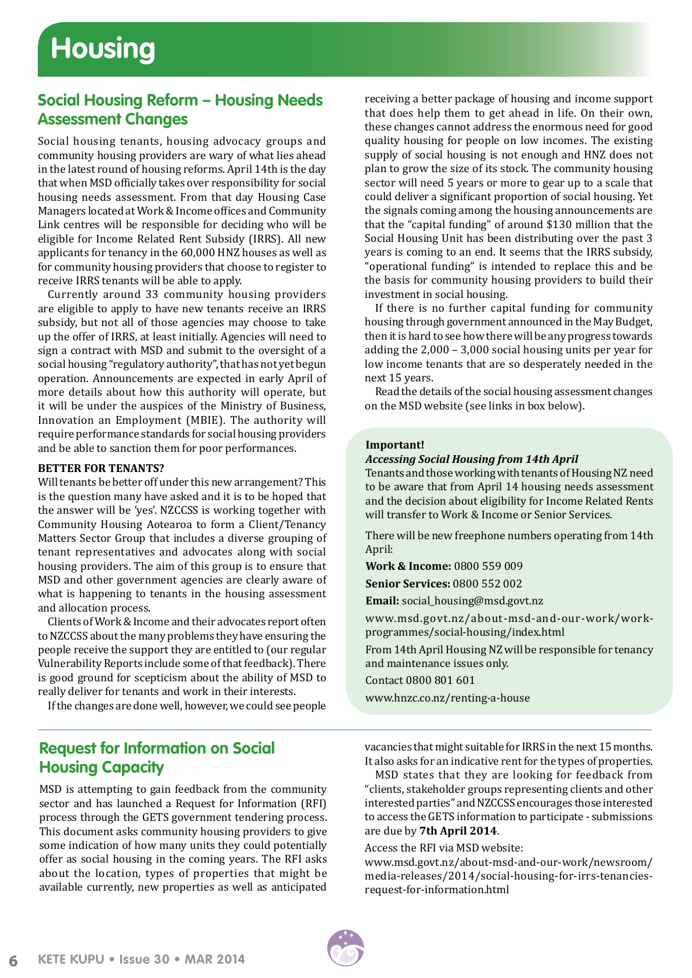# **Social Housing Reform – Housing Needs Assessment Changes**

Social housing tenants, housing advocacy groups and community housing providers are wary of what lies ahead in the latest round of housing reforms. April 14th is the day that when MSD officially takes over responsibility for social housing needs assessment. From that day Housing Case Managers located at Work & Income offices and Community Link centres will be responsible for deciding who will be eligible for Income Related Rent Subsidy (IRRS). All new applicants for tenancy in the 60,000 HNZ houses as well as for community housing providers that choose to register to receive IRRS tenants will be able to apply.

Currently around 33 community housing providers are eligible to apply to have new tenants receive an IRRS subsidy, but not all of those agencies may choose to take up the offer of IRRS, at least initially. Agencies will need to sign a contract with MSD and submit to the oversight of a social housing "regulatory authority", that has not yet begun operation. Announcements are expected in early April of more details about how this authority will operate, but it will be under the auspices of the Ministry of Business, Innovation an Employment (MBIE). The authority will require performance standards for social housing providers and be able to sanction them for poor performances.

# **Better for Tenants?**

Will tenants be better off under this new arrangement? This is the question many have asked and it is to be hoped that the answer will be 'yes'. NZCCSS is working together with Community Housing Aotearoa to form a Client/Tenancy Matters Sector Group that includes a diverse grouping of tenant representatives and advocates along with social housing providers. The aim of this group is to ensure that MSD and other government agencies are clearly aware of what is happening to tenants in the housing assessment and allocation process.

Clients of Work & Income and their advocates report often to NZCCSS about the many problems they have ensuring the people receive the support they are entitled to (our regular Vulnerability Reports include some of that feedback). There is good ground for scepticism about the ability of MSD to really deliver for tenants and work in their interests.

If the changes are done well, however, we could see people

# **Request for Information on Social Housing Capacity**

MSD is attempting to gain feedback from the community sector and has launched a Request for Information (RFI) process through the GETS government tendering process. This document asks community housing providers to give some indication of how many units they could potentially offer as social housing in the coming years. The RFI asks about the location, types of properties that might be available currently, new properties as well as anticipated receiving a better package of housing and income support that does help them to get ahead in life. On their own, these changes cannot address the enormous need for good quality housing for people on low incomes. The existing supply of social housing is not enough and HNZ does not plan to grow the size of its stock. The community housing sector will need 5 years or more to gear up to a scale that could deliver a significant proportion of social housing. Yet the signals coming among the housing announcements are that the "capital funding" of around \$130 million that the Social Housing Unit has been distributing over the past 3 years is coming to an end. It seems that the IRRS subsidy, "operational funding" is intended to replace this and be the basis for community housing providers to build their investment in social housing.

If there is no further capital funding for community housing through government announced in the May Budget, then it is hard to see how there will be any progress towards adding the 2,000 – 3,000 social housing units per year for low income tenants that are so desperately needed in the next 15 years.

Read the details of the social housing assessment changes on the MSD website (see links in box below).

### **Important!**

### *Accessing Social Housing from 14th April*

Tenants and those working with tenants of Housing NZ need to be aware that from April 14 housing needs assessment and the decision about eligibility for Income Related Rents will transfer to Work & Income or Senior Services.

There will be new freephone numbers operating from 14th April:

**Work & Income:** 0800 559 009

**Senior Services:** 0800 552 002

**Email:** social\_housing@msd.govt.nz

www.msd.govt.nz/about-msd-and-our-work/workprogrammes/social-housing/index.html

From 14th April Housing NZ will be responsible for tenancy and maintenance issues only.

Contact 0800 801 601

www.hnzc.co.nz/renting-a-house

vacancies that might suitable for IRRS in the next 15 months. It also asks for an indicative rent for the types of properties.

MSD states that they are looking for feedback from "clients, stakeholder groups representing clients and other interested parties" and NZCCSS encourages those interested to access the GETS information to participate - submissions are due by **7th April 2014**.

Access the RFI via MSD website:

[www.msd.govt.nz/about-msd-and-our-work/newsroom/](www.msd.govt.nz/about-msd-and-our-work/newsroom/media-releases/2014/social-housing-for-irrs-tenancies-request-for-information.html) [media-releases/2014/social-housing-for-irrs-tenancies](www.msd.govt.nz/about-msd-and-our-work/newsroom/media-releases/2014/social-housing-for-irrs-tenancies-request-for-information.html)[request-for-information.html](www.msd.govt.nz/about-msd-and-our-work/newsroom/media-releases/2014/social-housing-for-irrs-tenancies-request-for-information.html)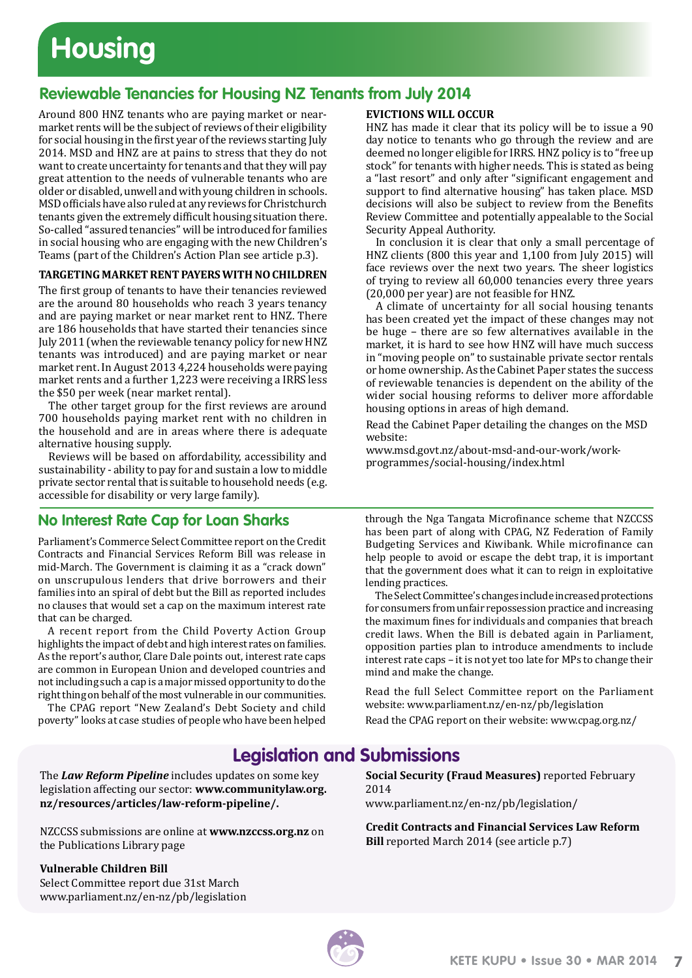# **Housing**

# **Reviewable Tenancies for Housing NZ Tenants from July 2014**

Around 800 HNZ tenants who are paying market or nearmarket rents will be the subject of reviews of their eligibility for social housing in the first year of the reviews starting July 2014. MSD and HNZ are at pains to stress that they do not want to create uncertainty for tenants and that they will pay great attention to the needs of vulnerable tenants who are older or disabled, unwell and with young children in schools. MSD officials have also ruled at any reviews for Christchurch tenants given the extremely difficult housing situation there. So-called "assured tenancies" will be introduced for families in social housing who are engaging with the new Children's Teams (part of the Children's Action Plan see article p.3).

# **Targeting Market Rent Payerswith No Children**

The first group of tenants to have their tenancies reviewed are the around 80 households who reach 3 years tenancy and are paying market or near market rent to HNZ. There are 186 households that have started their tenancies since July 2011 (when the reviewable tenancy policy for new HNZ tenants was introduced) and are paying market or near market rent. In August 2013 4,224 households were paying market rents and a further 1,223 were receiving a IRRS less the \$50 per week (near market rental).

The other target group for the first reviews are around 700 households paying market rent with no children in the household and are in areas where there is adequate alternative housing supply.

Reviews will be based on affordability, accessibility and sustainability - ability to pay for and sustain a low to middle private sector rental that is suitable to household needs (e.g. accessible for disability or very large family).

# **No Interest Rate Cap for Loan Sharks**

Parliament's Commerce Select Committee report on the Credit Contracts and Financial Services Reform Bill was release in mid-March. The Government is claiming it as a "crack down" on unscrupulous lenders that drive borrowers and their families into an spiral of debt but the Bill as reported includes no clauses that would set a cap on the maximum interest rate that can be charged.

A recent report from the Child Poverty Action Group highlights the impact of debt and high interest rates on families. As the report's author, Clare Dale points out, interest rate caps are common in European Union and developed countries and not including such a cap is a major missed opportunity to do the right thing on behalf of the most vulnerable in our communities.

The CPAG report "New Zealand's Debt Society and child poverty" looks at case studies of people who have been helped

# **Evictions will occur**

HNZ has made it clear that its policy will be to issue a 90 day notice to tenants who go through the review and are deemed no longer eligible for IRRS. HNZ policy is to "free up stock" for tenants with higher needs. This is stated as being a "last resort" and only after "significant engagement and support to find alternative housing" has taken place. MSD decisions will also be subject to review from the Benefits Review Committee and potentially appealable to the Social Security Appeal Authority.

In conclusion it is clear that only a small percentage of HNZ clients (800 this year and 1,100 from July 2015) will face reviews over the next two years. The sheer logistics of trying to review all 60,000 tenancies every three years (20,000 per year) are not feasible for HNZ.

A climate of uncertainty for all social housing tenants has been created yet the impact of these changes may not be huge – there are so few alternatives available in the market, it is hard to see how HNZ will have much success in "moving people on" to sustainable private sector rentals or home ownership. As the Cabinet Paper states the success of reviewable tenancies is dependent on the ability of the wider social housing reforms to deliver more affordable housing options in areas of high demand.

Read the Cabinet Paper detailing the changes on the MSD website:

www.msd.govt.nz/about-msd-and-our-work/workprogrammes/social-housing/index.html

through the Nga Tangata Microfinance scheme that NZCCSS has been part of along with CPAG, NZ Federation of Family Budgeting Services and Kiwibank. While microfinance can help people to avoid or escape the debt trap, it is important that the government does what it can to reign in exploitative lending practices.

The Select Committee's changes include increased protections for consumers from unfair repossession practice and increasing the maximum fines for individuals and companies that breach credit laws. When the Bill is debated again in Parliament, opposition parties plan to introduce amendments to include interest rate caps – it is not yet too late for MPs to change their mind and make the change.

Read the full Select Committee report on the Parliament website: [www.parliament.nz/en-nz/pb/legislation](www.parliament.nz/en-nz/pb/legislation/bills/00DBHOH_BILL12096_1/credit-contracts-and-financial-services-law-reform-bill )

Read the CPAG report on their website: www.cpag.org.nz/

# **Legislation and Submissions**

The *Law Reform Pipeline* includes updates on some key legislation affecting our sector: **[www.communitylaw.org.](www.communitylaw.org.nz/resources/articles/law-reform-pipeline/) [nz/resources/articles/law-reform-pipeline/.](www.communitylaw.org.nz/resources/articles/law-reform-pipeline/)** 

NZCCSS submissions are online at **www.nzccss.org.nz** on the Publications Library page

# **Vulnerable Children Bill**

Select Committee report due 31st March [www.parliament.nz/en-nz/pb/legislation](www.parliament.nz/en-nz/pb/legislation/bills/00DBHOH_BILL12424_1/vulnerable-children-bill) **Social Security (Fraud Measures)** reported February 2014

[www.parliament.nz/en-nz/pb/legislation/](www.parliament.nz/en-nz/pb/legislation/bills/00DBHOH_BILL12009_1/social-security-fraud-measures-and-debt-recovery-amendment)

**Credit Contracts and Financial Services Law Reform Bill** reported March 2014 (see article p.7)